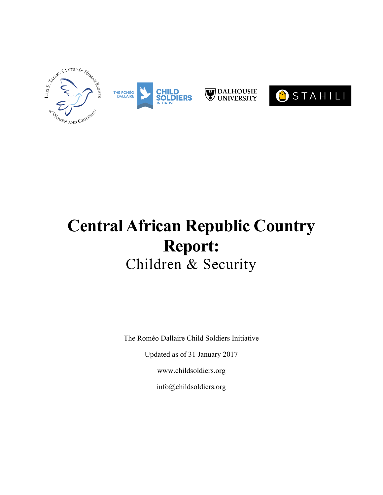

# **Central African Republic Country Report:** Children & Security

The Roméo Dallaire Child Soldiers Initiative

Updated as of 31 January 2017

www.childsoldiers.org

info@childsoldiers.org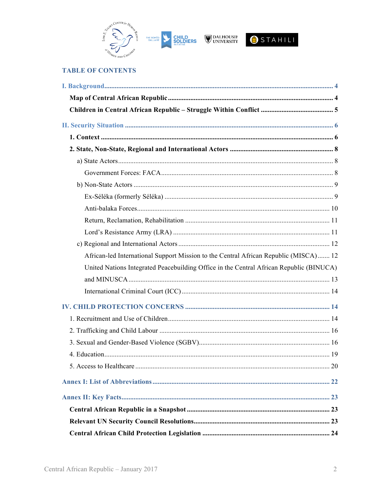





### **TABLE OF CONTENTS**

| African-led International Support Mission to the Central African Republic (MISCA) 12    |  |
|-----------------------------------------------------------------------------------------|--|
| United Nations Integrated Peacebuilding Office in the Central African Republic (BINUCA) |  |
|                                                                                         |  |
|                                                                                         |  |
|                                                                                         |  |
|                                                                                         |  |
|                                                                                         |  |
|                                                                                         |  |
|                                                                                         |  |
|                                                                                         |  |
|                                                                                         |  |
|                                                                                         |  |
|                                                                                         |  |
|                                                                                         |  |
|                                                                                         |  |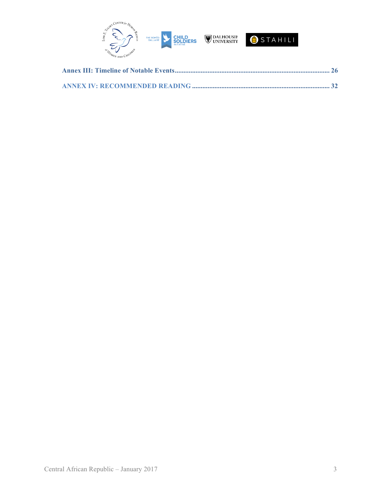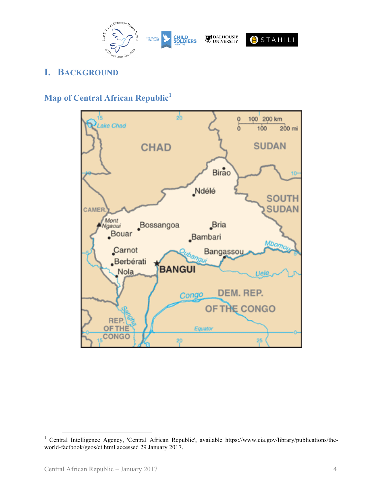

# **I. BACKGROUND**

# **Map of Central African Republic<sup>1</sup>**



<sup>&</sup>lt;sup>1</sup> Central Intelligence Agency, 'Central African Republic', available https://www.cia.gov/library/publications/theworld-factbook/geos/ct.html accessed 29 January 2017.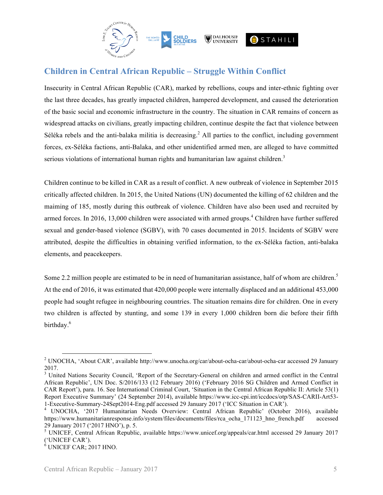

# **Children in Central African Republic – Struggle Within Conflict**

Insecurity in Central African Republic (CAR), marked by rebellions, coups and inter-ethnic fighting over the last three decades, has greatly impacted children, hampered development, and caused the deterioration of the basic social and economic infrastructure in the country. The situation in CAR remains of concern as widespread attacks on civilians, greatly impacting children, continue despite the fact that violence between Séléka rebels and the anti-balaka militia is decreasing.<sup>2</sup> All parties to the conflict, including government forces, ex-Séléka factions, anti-Balaka, and other unidentified armed men, are alleged to have committed serious violations of international human rights and humanitarian law against children.<sup>3</sup>

Children continue to be killed in CAR as a result of conflict. A new outbreak of violence in September 2015 critically affected children. In 2015, the United Nations (UN) documented the killing of 62 children and the maiming of 185, mostly during this outbreak of violence. Children have also been used and recruited by armed forces. In 2016, 13,000 children were associated with armed groups. <sup>4</sup> Children have further suffered sexual and gender-based violence (SGBV), with 70 cases documented in 2015. Incidents of SGBV were attributed, despite the difficulties in obtaining verified information, to the ex-Séléka faction, anti-balaka elements, and peacekeepers.

Some 2.2 million people are estimated to be in need of humanitarian assistance, half of whom are children.<sup>5</sup> At the end of 2016, it was estimated that 420,000 people were internally displaced and an additional 453,000 people had sought refugee in neighbouring countries. The situation remains dire for children. One in every two children is affected by stunting, and some 139 in every 1,000 children born die before their fifth birthday.<sup>6</sup>

 <sup>2</sup> UNOCHA, 'About CAR', available http://www.unocha.org/car/about-ocha-car/about-ocha-car accessed <sup>29</sup> January 2017.

<sup>&</sup>lt;sup>3</sup> United Nations Security Council, 'Report of the Secretary-General on children and armed conflict in the Central African Republic', UN Doc. S/2016/133 (12 February 2016) ('February 2016 SG Children and Armed Conflict in CAR Report'), para. 16. See International Criminal Court, 'Situation in the Central African Republic II: Article 53(1) Report Executive Summary' (24 September 2014), available https://www.icc-cpi.int/iccdocs/otp/SAS-CARII-Art53-

<sup>1-</sup>Executive-Summary-24Sept2014-Eng.pdf accessed <sup>29</sup> January <sup>2017</sup> ('ICC Situation in CAR'). <sup>4</sup> UNOCHA, '2017 Humanitarian Needs Overview: Central African Republic' (October 2016), available https://www.humanitarianresponse.info/system/files/documents/files/rca\_ocha\_171123\_hno\_french.pdf accessed

<sup>&</sup>lt;sup>5</sup> UNICEF, Central African Republic, available https://www.unicef.org/appeals/car.html accessed 29 January 2017 ('UNICEF CAR').

 $6$  UNICEF CAR; 2017 HNO.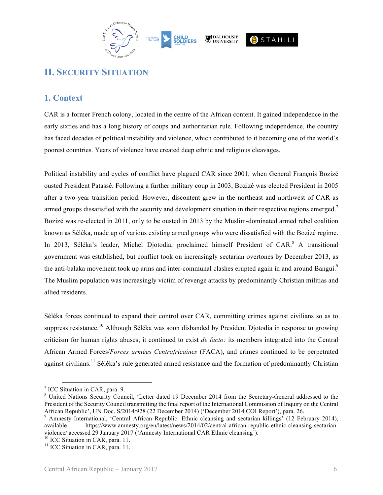

# **II. SECURITY SITUATION**

### **1. Context**

CAR is a former French colony, located in the centre of the African content. It gained independence in the early sixties and has a long history of coups and authoritarian rule. Following independence, the country has faced decades of political instability and violence, which contributed to it becoming one of the world's poorest countries. Years of violence have created deep ethnic and religious cleavages.

Political instability and cycles of conflict have plagued CAR since 2001, when General François Bozizé ousted President Patassé. Following a further military coup in 2003, Bozizé was elected President in 2005 after a two-year transition period. However, discontent grew in the northeast and northwest of CAR as armed groups dissatisfied with the security and development situation in their respective regions emerged.<sup>7</sup> Bozizé was re-elected in 2011, only to be ousted in 2013 by the Muslim-dominated armed rebel coalition known as Séléka, made up of various existing armed groups who were dissatisfied with the Bozizé regime. In 2013, Séléka's leader, Michel Djotodia, proclaimed himself President of CAR.<sup>8</sup> A transitional government was established, but conflict took on increasingly sectarian overtones by December 2013, as the anti-balaka movement took up arms and inter-communal clashes erupted again in and around Bangui.<sup>9</sup> The Muslim population was increasingly victim of revenge attacks by predominantly Christian militias and allied residents.

Séléka forces continued to expand their control over CAR, committing crimes against civilians so as to suppress resistance.<sup>10</sup> Although Séléka was soon disbanded by President Djotodia in response to growing criticism for human rights abuses, it continued to exist *de facto:* its members integrated into the Central African Armed Forces/*Forces armées Centrafricaines* (FACA), and crimes continued to be perpetrated against civilians.<sup>11</sup> Séléka's rule generated armed resistance and the formation of predominantly Christian

<sup>&</sup>lt;sup>7</sup> ICC Situation in CAR, para. 9.<br><sup>8</sup> United Nations Security Council, 'Letter dated 19 December 2014 from the Secretary-General addressed to the President of the Security Council transmitting the final report of the International Commission of Inquiry on the Central

African Republic', UN Doc. S/2014/928 (22 December 2014) ('December 2014 COI Report'), para. 26. 9 Amnesty International, 'Central African Republic: Ethnic cleansing and sectarian killings' (12 February 2014), available https://www.amnesty.org/en/latest/news/2014/02/central-african-republic-ethnic-cleansing-sectarianviolence/ accessed 29 January 2017 ('Amnesty International CAR Ethnic cleansing').<br><sup>10</sup> ICC Situation in CAR, para. 11.<br><sup>11</sup> ICC Situation in CAR, para. 11.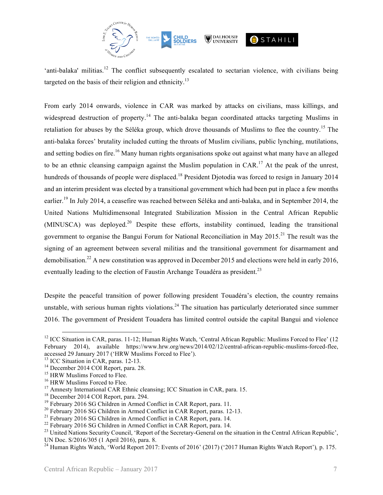

'anti-balaka' militias.<sup>12</sup> The conflict subsequently escalated to sectarian violence, with civilians being targeted on the basis of their religion and ethnicity.<sup>13</sup>

From early 2014 onwards, violence in CAR was marked by attacks on civilians, mass killings, and widespread destruction of property.<sup>14</sup> The anti-balaka began coordinated attacks targeting Muslims in retaliation for abuses by the Séléka group, which drove thousands of Muslims to flee the country.<sup>15</sup> The anti-balaka forces' brutality included cutting the throats of Muslim civilians, public lynching, mutilations, and setting bodies on fire.<sup>16</sup> Many human rights organisations spoke out against what many have an alleged to be an ethnic cleansing campaign against the Muslim population in CAR.<sup>17</sup> At the peak of the unrest, hundreds of thousands of people were displaced.<sup>18</sup> President Djotodia was forced to resign in January 2014 and an interim president was elected by a transitional government which had been put in place a few months earlier.<sup>19</sup> In July 2014, a ceasefire was reached between Séléka and anti-balaka, and in September 2014, the United Nations Multidimensonal Integrated Stabilization Mission in the Central African Republic  $(MINUSCA)$  was deployed.<sup>20</sup> Despite these efforts, instability continued, leading the transitional government to organise the Bangui Forum for National Reconciliation in May 2015.<sup>21</sup> The result was the signing of an agreement between several militias and the transitional government for disarmament and demobilisation.<sup>22</sup> A new constitution was approved in December 2015 and elections were held in early 2016, eventually leading to the election of Faustin Archange Touadéra as president.<sup>23</sup>

Despite the peaceful transition of power following president Touadéra's election, the country remains unstable, with serious human rights violations.<sup>24</sup> The situation has particularly deteriorated since summer 2016. The government of President Touadera has limited control outside the capital Bangui and violence

<sup>&</sup>lt;sup>12</sup> ICC Situation in CAR, paras. 11-12; Human Rights Watch, 'Central African Republic: Muslims Forced to Flee' (12) February 2014), available https://www.hrw.org/news/2014/02/12/central-african-republic-muslims-forced-flee,

accessed 29 January 2017 ('HRW Muslims Forced to Flee').<br><sup>14</sup> DCC Situation in CAR, paras. 12-13.<br><sup>15</sup> Hexember 2014 COI Report, para. 28.<br><sup>15</sup> HRW Muslims Forced to Flee.<br><sup>16</sup> HRW Muslims Forced to Flee.<br><sup>17</sup> Amnesty Inte UN Doc. S/2016/305 (1 April 2016), para. 8.

<sup>24</sup> Human Rights Watch, 'World Report 2017: Events of 2016' (2017) ('2017 Human Rights Watch Report')*,* p. 175.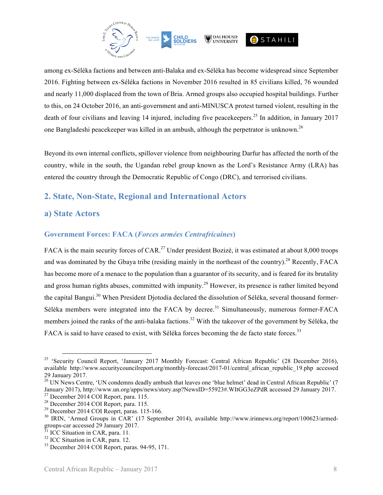

among ex-Séléka factions and between anti-Balaka and ex-Séléka has become widespread since September 2016. Fighting between ex-Séléka factions in November 2016 resulted in 85 civilians killed, 76 wounded and nearly 11,000 displaced from the town of Bria. Armed groups also occupied hospital buildings. Further to this, on 24 October 2016, an anti-government and anti-MINUSCA protest turned violent, resulting in the death of four civilians and leaving 14 injured, including five peace keepers.<sup>25</sup> In addition, in January 2017 one Bangladeshi peacekeeper was killed in an ambush, although the perpetrator is unknown.<sup>26</sup>

Beyond its own internal conflicts, spillover violence from neighbouring Darfur has affected the north of the country, while in the south, the Ugandan rebel group known as the Lord's Resistance Army (LRA) has entered the country through the Democratic Republic of Congo (DRC), and terrorised civilians.

### **2. State, Non-State, Regional and International Actors**

### **a) State Actors**

### **Government Forces: FACA (***Forces armées Centrafricaines***)**

FACA is the main security forces of CAR.<sup>27</sup> Under president Bozizé, it was estimated at about 8,000 troops and was dominated by the Gbaya tribe (residing mainly in the northeast of the country).<sup>28</sup> Recently, FACA has become more of a menace to the population than a guarantor of its security, and is feared for its brutality and gross human rights abuses, committed with impunity.<sup>29</sup> However, its presence is rather limited beyond the capital Bangui.<sup>30</sup> When President Djotodia declared the dissolution of Séléka, several thousand former-Séléka members were integrated into the FACA by decree.<sup>31</sup> Simultaneously, numerous former-FACA members joined the ranks of the anti-balaka factions.<sup>32</sup> With the takeover of the government by Séléka, the FACA is said to have ceased to exist, with Séléka forces becoming the de facto state forces.<sup>33</sup>

<sup>&</sup>lt;sup>25</sup> 'Security Council Report, 'January 2017 Monthly Forecast: Central African Republic' (28 December 2016), available http://www.securitycouncilreport.org/monthly-forecast/2017-01/central\_african\_republic\_19.php accessed 29 January 2017.

<sup>&</sup>lt;sup>26</sup> UN News Centre, 'UN condemns deadly ambush that leaves one 'blue helmet' dead in Central African Republic' (7 January 2017), http://www.un.org/apps/news/story.asp?NewsID=55923#.WItGG3eZPdR accessed 29 January 2017.<br><sup>27</sup> December 2014 COI Report, para. 115.

<sup>&</sup>lt;sup>28</sup> December 2014 COI Report, para. 115.<br><sup>29</sup> December 2014 COI Reoprt, paras. 115-166.<br><sup>30</sup> IRIN, 'Armed Groups in CAR' (17 September 2014), available http://www.irinnews.org/report/100623/armedgroups-car accessed 29 January 2017.<br><sup>31</sup> ICC Situation in CAR, para. 11.<br><sup>32</sup> ICC Situation in CAR, para. 12.<br><sup>33</sup> December 2014 COI Report, paras. 94-95, 171.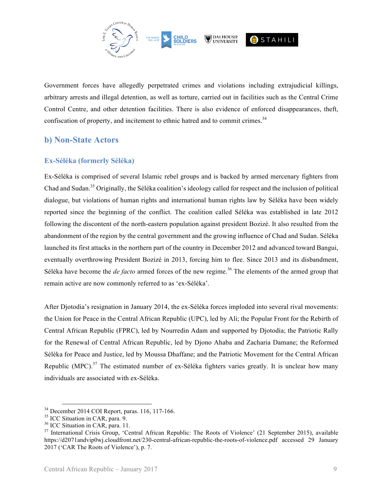

Government forces have allegedly perpetrated crimes and violations including extrajudicial killings, arbitrary arrests and illegal detention, as well as torture, carried out in facilities such as the Central Crime Control Centre, and other detention facilities. There is also evidence of enforced disappearances, theft, confiscation of property, and incitement to ethnic hatred and to commit crimes.<sup>34</sup>

### **b) Non-State Actors**

### **Ex-Séléka (formerly Séléka)**

Ex-Séléka is comprised of several Islamic rebel groups and is backed by armed mercenary fighters from Chad and Sudan.35 Originally, the Séléka coalition's ideology called for respect and the inclusion of political dialogue, but violations of human rights and international human rights law by Séléka have been widely reported since the beginning of the conflict. The coalition called Séléka was established in late 2012 following the discontent of the north-eastern population against president Bozizé. It also resulted from the abandonment of the region by the central government and the growing influence of Chad and Sudan. Séléka launched its first attacks in the northern part of the country in December 2012 and advanced toward Bangui, eventually overthrowing President Bozizé in 2013, forcing him to flee. Since 2013 and its disbandment, Séléka have become the *de facto* armed forces of the new regime.<sup>36</sup> The elements of the armed group that remain active are now commonly referred to as 'ex-Séléka'.

After Djotodia's resignation in January 2014, the ex-Séléka forces imploded into several rival movements: the Union for Peace in the Central African Republic (UPC), led by Ali; the Popular Front for the Rebirth of Central African Republic (FPRC), led by Nourredin Adam and supported by Djotodia; the Patriotic Rally for the Renewal of Central African Republic, led by Djono Ahaba and Zacharia Damane; the Reformed Séléka for Peace and Justice, led by Moussa Dhaffane; and the Patriotic Movement for the Central African Republic (MPC).<sup>37</sup> The estimated number of ex-Séléka fighters varies greatly. It is unclear how many individuals are associated with ex-Séléka.

<sup>&</sup>lt;sup>34</sup> December 2014 COI Report, paras. 116, 117-166.<br><sup>35</sup> ICC Situation in CAR, para. 9.<br><sup>36</sup> ICC Situation in CAR, para. 11.<br><sup>37</sup> International Crisis Group, 'Central African Republic: The Roots of Violence' (21 September https://d2071andvip0wj.cloudfront.net/230-central-african-republic-the-roots-of-violence.pdf accessed 29 January 2017 ('CAR The Roots of Violence'), p. 7.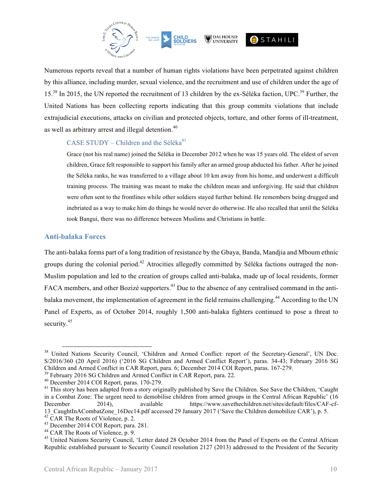

Numerous reports reveal that a number of human rights violations have been perpetrated against children by this alliance, including murder, sexual violence, and the recruitment and use of children under the age of 15.<sup>38</sup> In 2015, the UN reported the recruitment of 13 children by the ex-Séléka faction, UPC.<sup>39</sup> Further, the United Nations has been collecting reports indicating that this group commits violations that include extrajudicial executions, attacks on civilian and protected objects, torture, and other forms of ill-treatment, as well as arbitrary arrest and illegal detention.<sup>40</sup>

### CASE STUDY – Children and the Séléka<sup>41</sup>

Grace (not his real name) joined the Séléka in December 2012 when he was 15 years old. The eldest of seven children, Grace felt responsible to support his family after an armed group abducted his father. After he joined the Séléka ranks, he was transferred to a village about 10 km away from his home, and underwent a difficult training process. The training was meant to make the children mean and unforgiving. He said that children were often sent to the frontlines while other soldiers stayed further behind. He remembers being drugged and inebriated as a way to make him do things he would never do otherwise. He also recalled that until the Séléka took Bangui, there was no difference between Muslims and Christians in battle.

#### **Anti-balaka Forces**

The anti-balaka forms part of a long tradition of resistance by the Gbaya, Banda, Mandjia and Mboum ethnic groups during the colonial period.<sup>42</sup> Atrocities allegedly committed by Séléka factions outraged the non-Muslim population and led to the creation of groups called anti-balaka, made up of local residents, former FACA members, and other Bozizé supporters.<sup>43</sup> Due to the absence of any centralised command in the antibalaka movement, the implementation of agreement in the field remains challenging.<sup>44</sup> According to the UN Panel of Experts, as of October 2014, roughly 1,500 anti-balaka fighters continued to pose a threat to security.<sup>45</sup>

<sup>&</sup>lt;sup>38</sup> United Nations Security Council, 'Children and Armed Conflict: report of the Secretary-General', UN Doc. S/2016/360 (20 April 2016) ('2016 SG Children and Armed Conflict Report'), paras. 34-43; February 2016 SG Children and Armed Conflict in CAR Report, para. 6; December 2014 COI Report, paras. 167-279.<br><sup>39</sup> February 2016 SG Children and Armed Conflict in CAR Report, para. 22.<br><sup>40</sup> December 2014 COI Report, paras. 170-279.<br><sup>41</sup> T

in a Combat Zone: The urgent need to demobilise children from armed groups in the Central African Republic' (16 December 2014), available https://www.savethechildren.net/sites/default/files/CAF-cf-13\_CaughtInACombatZone\_16Dec14.pdf accessed 29 January 2017 ('Save the Children demobilize CAR'), p. 5.<br><sup>42</sup> CAR The Roots of Violence, p. 2.<br><sup>43</sup> December 2014 COI Report, para. 281.<br><sup>44</sup> CAR The Roots of Violence, p. 9.<br>

Republic established pursuant to Security Council resolution 2127 (2013) addressed to the President of the Security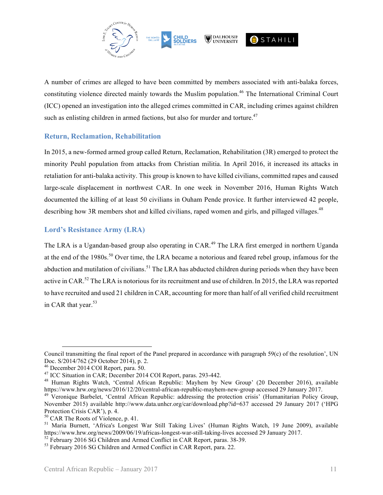

A number of crimes are alleged to have been committed by members associated with anti-balaka forces, constituting violence directed mainly towards the Muslim population.<sup>46</sup> The International Criminal Court (ICC) opened an investigation into the alleged crimes committed in CAR, including crimes against children such as enlisting children in armed factions, but also for murder and torture.<sup>47</sup>

### **Return, Reclamation, Rehabilitation**

In 2015, a new-formed armed group called Return, Reclamation, Rehabilitation (3R) emerged to protect the minority Peuhl population from attacks from Christian militia. In April 2016, it increased its attacks in retaliation for anti-balaka activity. This group is known to have killed civilians, committed rapes and caused large-scale displacement in northwest CAR. In one week in November 2016, Human Rights Watch documented the killing of at least 50 civilians in Ouham Pende provice. It further interviewed 42 people, describing how 3R members shot and killed civilians, raped women and girls, and pillaged villages.<sup>48</sup>

### **Lord's Resistance Army (LRA)**

The LRA is a Ugandan-based group also operating in CAR.<sup>49</sup> The LRA first emerged in northern Uganda at the end of the 1980s.<sup>50</sup> Over time, the LRA became a notorious and feared rebel group, infamous for the abduction and mutilation of civilians.<sup>51</sup> The LRA has abducted children during periods when they have been active in CAR.<sup>52</sup> The LRA is notorious for its recruitment and use of children. In 2015, the LRA was reported to have recruited and used 21 children in CAR, accounting for more than half of all verified child recruitment in CAR that year.<sup>53</sup>

 $\overline{a}$ 

Council transmitting the final report of the Panel prepared in accordance with paragraph 59(c) of the resolution', UN Doc. S/2014/762 (29 October 2014), p. 2.

<sup>&</sup>lt;sup>46</sup> December 2014 COI Report, para. 50.<br><sup>47</sup> ICC Situation in CAR; December 2014 COI Report, paras. 293-442.<br><sup>48</sup> Human Rights Watch, 'Central African Republic: Mayhem by New Group' (20 December 2016), available https://www.hrw.org/news/2016/12/20/central-african-republic-mayhem-new-group accessed 29 January 2017. 49 Veronique Barbelet, 'Central African Republic: addressing the protection crisis' (Humanitarian Policy Group,

November 2015) available http://www.data.unhcr.org/car/download.php?id=637 accessed 29 January 2017 ('HPG

Protection Crisis CAR'), p. 4.<br><sup>50</sup> CAR The Roots of Violence, p. 41.<br><sup>51</sup> Maria Burnett, 'Africa's Longest War Still Taking Lives' (Human Rights Watch, 19 June 2009), available https://www.hrw.org/news/2009/06/19/africas-longest-war-still-taking-lives accessed 29 January 2017.<br>
<sup>52</sup> February 2016 SG Children and Armed Conflict in CAR Report, paras. 38-39.<br>
<sup>53</sup> February 2016 SG Children and Armed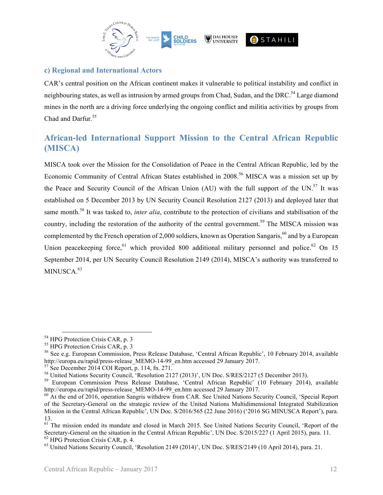

### **c) Regional and International Actors**

CAR's central position on the African continent makes it vulnerable to political instability and conflict in neighbouring states, as well as intrusion by armed groups from Chad, Sudan, and the DRC.<sup>54</sup> Large diamond mines in the north are a driving force underlying the ongoing conflict and militia activities by groups from Chad and Darfur.<sup>55</sup>

# **African-led International Support Mission to the Central African Republic (MISCA)**

MISCA took over the Mission for the Consolidation of Peace in the Central African Republic, led by the Economic Community of Central African States established in 2008.<sup>56</sup> MISCA was a mission set up by the Peace and Security Council of the African Union (AU) with the full support of the UN.<sup>57</sup> It was established on 5 December 2013 by UN Security Council Resolution 2127 (2013) and deployed later that same month.<sup>58</sup> It was tasked to, *inter alia*, contribute to the protection of civilians and stabilisation of the country, including the restoration of the authority of the central government.<sup>59</sup> The MISCA mission was complemented by the French operation of 2,000 soldiers, known as Operation Sangaris,  $60$  and by a European Union peacekeeping force, <sup>61</sup> which provided 800 additional military personnel and police.<sup>62</sup> On 15 September 2014, per UN Security Council Resolution 2149 (2014), MISCA's authority was transferred to MINUSCA.<sup>63</sup>

<sup>&</sup>lt;sup>54</sup> HPG Protection Crisis CAR, p. 3<br><sup>55</sup> HPG Protection Crisis CAR, p. 3<br><sup>56</sup> See e.g. European Commission, Press Release Database, 'Central African Republic', 10 February 2014, available<br>http://europa.eu/rapid/press-rel

<sup>&</sup>lt;sup>57</sup> See December 2014 COI Report, p. 114, fn. 271.<br><sup>58</sup> United Nations Security Council, 'Resolution 2127 (2013)', UN Doc. S/RES/2127 (5 December 2013).<br><sup>59</sup> European Commission Press Release Database, 'Central African R

http://europa.eu/rapid/press-release\_MEMO-14-99\_en.htm accessed 29 January 2017.<br><sup>60</sup> At the end of 2016, operation Sangris withdrew from CAR. See United Nations Security Council, 'Special Report

of the Secretary-General on the strategic review of the United Nations Multidimensional Integrated Stabilization Mission in the Central African Republic', UN Doc. S/2016/565 (22 June 2016) ('2016 SG MINUSCA Report'), para. 13.

<sup>&</sup>lt;sup>61</sup> The mission ended its mandate and closed in March 2015. See United Nations Security Council, 'Report of the Secretary-General on the situation in the Central African Republic', UN Doc. S/2015/227 (1 April 2015), para. 11.<br><sup>62</sup> HPG Protection Crisis CAR, p. 4.<br><sup>63</sup> United Nations Security Council, 'Resolution 2149 (2014)', UN Doc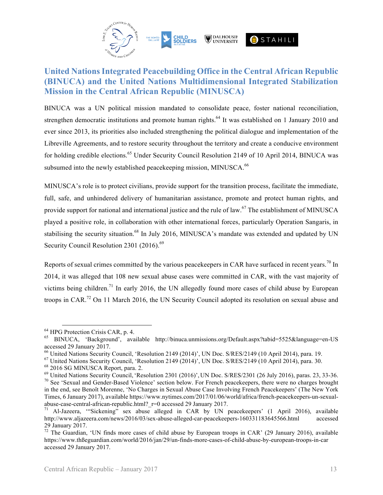

# **United Nations Integrated Peacebuilding Office in the Central African Republic (BINUCA) and the United Nations Multidimensional Integrated Stabilization Mission in the Central African Republic (MINUSCA)**

BINUCA was a UN political mission mandated to consolidate peace, foster national reconciliation, strengthen democratic institutions and promote human rights.<sup>64</sup> It was established on 1 January 2010 and ever since 2013, its priorities also included strengthening the political dialogue and implementation of the Libreville Agreements, and to restore security throughout the territory and create a conducive environment for holding credible elections.<sup>65</sup> Under Security Council Resolution 2149 of 10 April 2014, BINUCA was subsumed into the newly established peacekeeping mission, MINUSCA.<sup>66</sup>

MINUSCA's role is to protect civilians, provide support for the transition process, facilitate the immediate, full, safe, and unhindered delivery of humanitarian assistance, promote and protect human rights, and provide support for national and international justice and the rule of law.<sup>67</sup> The establishment of MINUSCA played a positive role, in collaboration with other international forces, particularly Operation Sangaris, in stabilising the security situation.<sup>68</sup> In July 2016, MINUSCA's mandate was extended and updated by UN Security Council Resolution 2301  $(2016)$ .<sup>69</sup>

Reports of sexual crimes committed by the various peace keepers in CAR have surfaced in recent years.<sup>70</sup> In 2014, it was alleged that 108 new sexual abuse cases were committed in CAR, with the vast majority of victims being children.<sup>71</sup> In early 2016, the UN allegedly found more cases of child abuse by European troops in CAR.<sup>72</sup> On 11 March 2016, the UN Security Council adopted its resolution on sexual abuse and

<sup>&</sup>lt;sup>64</sup> HPG Protection Crisis CAR, p. 4.<br><sup>65</sup> BINUCA, 'Background', available http://binuca.unmissions.org/Default.aspx?tabid=5525&language=en-US

accessed 29 January 2017.<br>
<sup>66</sup> United Nations Security Council, 'Resolution 2149 (2014)', UN Doc. S/RES/2149 (10 April 2014), para. 19.

<sup>&</sup>lt;sup>67</sup> United Nations Security Council, 'Resolution 2149 (2014)', UN Doc. S/RES/2149 (10 April 2014), para. 30.<br><sup>68</sup> 2016 SG MINUSCA Report, para. 2.<br><sup>69</sup> United Nations Security Council, 'Resolution 2301 (2016)', UN Doc. S in the end, see Benoît Morenne, 'No Charges in Sexual Abuse Case Involving French Peacekeepers' (The New York

Times, 6 January 2017), available https://www.nytimes.com/2017/01/06/world/africa/french-peacekeepers-un-sexualabuse-case-central-african-republic.html?\_r=0 accessed 29 January 2017.<br><sup>71</sup> Al-Jazeera, "Sickening" sex abuse alleged in CAR by UN peacekeepers' (1 April 2016), available

http://www.aljazeera.com/news/2016/03/sex-abuse-alleged-car-peacekeepers-160331183645566.html accessed 29 January 2017.<br><sup>72</sup> The Guardian, 'UN finds more cases of child abuse by European troops in CAR' (29 January 2016), available

https://www.thßeguardian.com/world/2016/jan/29/un-finds-more-cases-of-child-abuse-by-european-troops-in-car accessed 29 January 2017.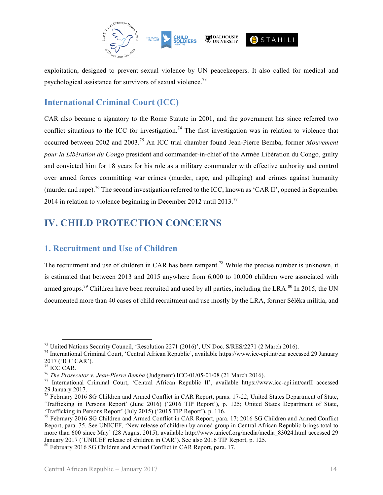

exploitation, designed to prevent sexual violence by UN peacekeepers. It also called for medical and psychological assistance for survivors of sexual violence.<sup>73</sup>

## **International Criminal Court (ICC)**

CAR also became a signatory to the Rome Statute in 2001, and the government has since referred two conflict situations to the ICC for investigation.<sup>74</sup> The first investigation was in relation to violence that occurred between 2002 and 2003.<sup>75</sup> An ICC trial chamber found Jean-Pierre Bemba, former *Mouvement pour la Libération du Congo* president and commander-in-chief of the Armée Libération du Congo, guilty and convicted him for 18 years for his role as a military commander with effective authority and control over armed forces committing war crimes (murder, rape, and pillaging) and crimes against humanity (murder and rape).<sup>76</sup> The second investigation referred to the ICC, known as 'CAR II', opened in September 2014 in relation to violence beginning in December 2012 until 2013.<sup>77</sup>

# **IV. CHILD PROTECTION CONCERNS**

### **1. Recruitment and Use of Children**

The recruitment and use of children in CAR has been rampant.<sup>78</sup> While the precise number is unknown, it is estimated that between 2013 and 2015 anywhere from 6,000 to 10,000 children were associated with armed groups.<sup>79</sup> Children have been recruited and used by all parties, including the LRA.<sup>80</sup> In 2015, the UN documented more than 40 cases of child recruitment and use mostly by the LRA, former Séléka militia, and

<sup>&</sup>lt;sup>73</sup> United Nations Security Council, 'Resolution 2271 (2016)', UN Doc. S/RES/2271 (2 March 2016).<br><sup>74</sup> International Criminal Court, 'Central African Republic', available https://www.icc-cpi.int/car accessed 29 January

<sup>2017 (&#</sup>x27;ICC CAR').<br><sup>75</sup> ICC CAR.<br><sup>76</sup> The Prosecutor v. Jean-Pierre Bemba (Judgment) ICC-01/05-01/08 (21 March 2016).<br><sup>77</sup> International Criminal Court, 'Central African Republic II', available https://www.icc-cpi.int/carII

<sup>29</sup> January 2017.<br><sup>78</sup> February 2016 SG Children and Armed Conflict in CAR Report, paras. 17-22; United States Department of State, 'Trafficking in Persons Report' (June 2016) ('2016 TIP Report'), p. 125; United States Department of State, 'Trafficking in Persons Report' (July 2015) ('2015 TIP Report'), p. 116.<br><sup>79</sup> February 2016 SG Children and Armed Conflict in CAR Report, para. 17; 2016 SG Children and Armed Conflict

Report, para. 35. See UNICEF, 'New release of children by armed group in Central African Republic brings total to more than 600 since May' (28 August 2015), available http://www.unicef.org/media/media\_83024.html accessed 29 January 2017 ('UNICEF release of children in CAR'). See also 2016 TIP Report, p. 125.

 $80$  February 2016 SG Children and Armed Conflict in CAR Report, para. 17.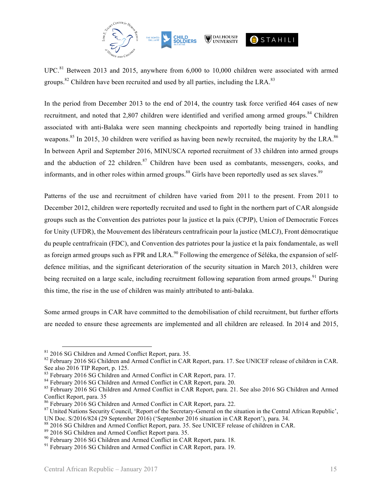

UPC.<sup>81</sup> Between 2013 and 2015, anywhere from 6,000 to 10,000 children were associated with armed groups.<sup>82</sup> Children have been recruited and used by all parties, including the LRA.<sup>83</sup>

In the period from December 2013 to the end of 2014, the country task force verified 464 cases of new recruitment, and noted that 2,807 children were identified and verified among armed groups.<sup>84</sup> Children associated with anti-Balaka were seen manning checkpoints and reportedly being trained in handling weapons.<sup>85</sup> In 2015, 30 children were verified as having been newly recruited, the majority by the LRA.<sup>86</sup> In between April and September 2016, MINUSCA reported recruitment of 33 children into armed groups and the abduction of 22 children.<sup>87</sup> Children have been used as combatants, messengers, cooks, and informants, and in other roles within armed groups.<sup>88</sup> Girls have been reportedly used as sex slaves.<sup>89</sup>

Patterns of the use and recruitment of children have varied from 2011 to the present. From 2011 to December 2012, children were reportedly recruited and used to fight in the northern part of CAR alongside groups such as the Convention des patriotes pour la justice et la paix (CPJP), Union of Democratic Forces for Unity (UFDR), the Mouvement des libérateurs centrafricain pour la justice (MLCJ), Front démocratique du peuple centrafricain (FDC), and Convention des patriotes pour la justice et la paix fondamentale, as well as foreign armed groups such as FPR and LRA.<sup>90</sup> Following the emergence of Séléka, the expansion of selfdefence militias, and the significant deterioration of the security situation in March 2013, children were being recruited on a large scale, including recruitment following separation from armed groups.<sup>91</sup> During this time, the rise in the use of children was mainly attributed to anti-balaka.

Some armed groups in CAR have committed to the demobilisation of child recruitment, but further efforts are needed to ensure these agreements are implemented and all children are released. In 2014 and 2015,

 $81$  2016 SG Children and Armed Conflict Report, para. 35.<br> $82$  February 2016 SG Children and Armed Conflict in CAR Report, para. 17. See UNICEF release of children in CAR. See also 2016 TIP Report, p. 125.<br><sup>83</sup> February 2016 SG Children and Armed Conflict in CAR Report, para. 17.<br><sup>84</sup> February 2016 SG Children and Armed Conflict in CAR Report, para. 20.<br><sup>85</sup> February 2016 SG Children and Arm

Conflict Report, para. 35

<sup>&</sup>lt;sup>86</sup> February 2016 SG Children and Armed Conflict in CAR Report, para. 22.<br><sup>87</sup> United Nations Security Council, 'Report of the Secretary-General on the situation in the Central African Republic', UN Doc. S/2016/824 (29 September 2016) ('September 2016 situation in CAR Report'), para. 34.<br><sup>88</sup> 2016 SG Children and Armed Conflict Report, para. 35. See UNICEF release of children in CAR.<br><sup>89</sup> 2016 SG Children and Armed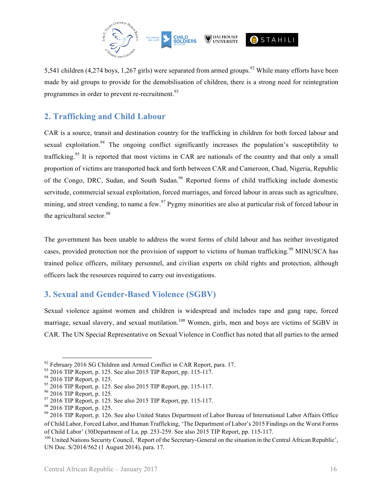

5,541 children (4,274 boys, 1,267 girls) were separated from armed groups.<sup>92</sup> While many efforts have been made by aid groups to provide for the demobilisation of children, there is a strong need for reintegration programmes in order to prevent re-recruitment.<sup>93</sup>

## **2. Trafficking and Child Labour**

CAR is a source, transit and destination country for the trafficking in children for both forced labour and sexual exploitation.<sup>94</sup> The ongoing conflict significantly increases the population's susceptibility to trafficking.<sup>95</sup> It is reported that most victims in CAR are nationals of the country and that only a small proportion of victims are transported back and forth between CAR and Cameroon, Chad, Nigeria, Republic of the Congo, DRC, Sudan, and South Sudan.<sup>96</sup> Reported forms of child trafficking include domestic servitude, commercial sexual exploitation, forced marriages, and forced labour in areas such as agriculture, mining, and street vending, to name a few.<sup>97</sup> Pygmy minorities are also at particular risk of forced labour in the agricultural sector.<sup>98</sup>

The government has been unable to address the worst forms of child labour and has neither investigated cases, provided protection nor the provision of support to victims of human trafficking.<sup>99</sup> MINUSCA has trained police officers, military personnel, and civilian experts on child rights and protection, although officers lack the resources required to carry out investigations.

### **3. Sexual and Gender-Based Violence (SGBV)**

Sexual violence against women and children is widespread and includes rape and gang rape, forced marriage, sexual slavery, and sexual mutilation.<sup>100</sup> Women, girls, men and boys are victims of SGBV in CAR. The UN Special Representative on Sexual Violence in Conflict has noted that all parties to the armed

<sup>&</sup>lt;sup>92</sup> February 2016 SG Children and Armed Conflict in CAR Report, para. 17.<br><sup>93</sup> 2016 TIP Report, p. 125. See also 2015 TIP Report, pp. 115-117.<br><sup>94</sup> 2016 TIP Report, p. 125.<br><sup>95</sup> 2016 TIP Report, p. 125.<br><sup>97</sup> 2016 TIP Rep of Child Labor, Forced Labor, and Human Trafficking, 'The Department of Labor's 2015 Findings on the Worst Forms of Child Labor' (30Department of La, pp. 253-259. See also 2015 TIP Report, pp. 115-117.

<sup>&</sup>lt;sup>100</sup> United Nations Security Council, 'Report of the Secretary-General on the situation in the Central African Republic', UN Doc. S/2014/562 (1 August 2014), para. 17.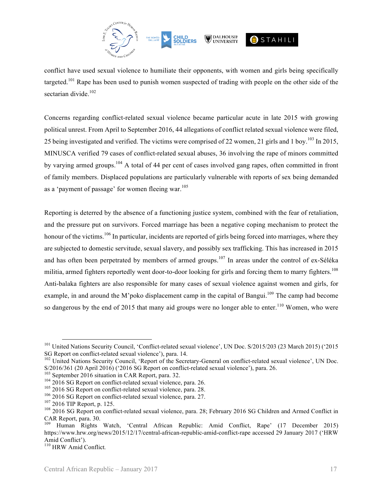

conflict have used sexual violence to humiliate their opponents, with women and girls being specifically targeted.<sup>101</sup> Rape has been used to punish women suspected of trading with people on the other side of the sectarian divide. $102$ 

Concerns regarding conflict-related sexual violence became particular acute in late 2015 with growing political unrest. From April to September 2016, 44 allegations of conflict related sexual violence were filed, 25 being investigated and verified. The victims were comprised of 22 women, 21 girls and 1 boy.<sup>103</sup> In 2015, MINUSCA verified 79 cases of conflict-related sexual abuses, 36 involving the rape of minors committed by varying armed groups.<sup>104</sup> A total of 44 per cent of cases involved gang rapes, often committed in front of family members. Displaced populations are particularly vulnerable with reports of sex being demanded as a 'payment of passage' for women fleeing war.<sup>105</sup>

Reporting is deterred by the absence of a functioning justice system, combined with the fear of retaliation, and the pressure put on survivors. Forced marriage has been a negative coping mechanism to protect the honour of the victims.<sup>106</sup> In particular, incidents are reported of girls being forced into marriages, where they are subjected to domestic servitude, sexual slavery, and possibly sex trafficking. This has increased in 2015 and has often been perpetrated by members of armed groups.<sup>107</sup> In areas under the control of ex-Séléka militia, armed fighters reportedly went door-to-door looking for girls and forcing them to marry fighters.<sup>108</sup> Anti-balaka fighters are also responsible for many cases of sexual violence against women and girls, for example, in and around the M'poko displacement camp in the capital of Bangui.<sup>109</sup> The camp had become so dangerous by the end of 2015 that many aid groups were no longer able to enter.<sup>110</sup> Women, who were

<sup>&</sup>lt;sup>101</sup> United Nations Security Council, 'Conflict-related sexual violence', UN Doc. S/2015/203 (23 March 2015) ('2015<br>SG Report on conflict-related sexual violence'), para. 14.

<sup>&</sup>lt;sup>102</sup> United Nations Security Council, 'Report of the Secretary-General on conflict-related sexual violence', UN Doc.  $S/2016/361$  (20 April 2016) ('2016 SG Report on conflict-related sexual violence'), para. 26.<br><sup>103</sup> September 2016 situation in CAR Report, para. 32.<br><sup>104</sup> 2016 SG Report on conflict-related sexual violence, para. 26.<br><sup>1</sup>

CAR Report, para. 30.<br><sup>109</sup> Human Rights Watch, 'Central African Republic: Amid Conflict, Rape' (17 December 2015)

https://www.hrw.org/news/2015/12/17/central-african-republic-amid-conflict-rape accessed 29 January 2017 ('HRW Amid Conflict'). <sup>110</sup> HRW Amid Conflict*.*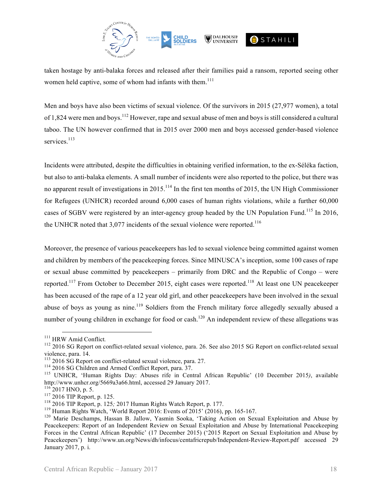

taken hostage by anti-balaka forces and released after their families paid a ransom, reported seeing other women held captive, some of whom had infants with them.<sup>111</sup>

Men and boys have also been victims of sexual violence. Of the survivors in 2015 (27,977 women), a total of 1,824 were men and boys.<sup>112</sup> However, rape and sexual abuse of men and boys is still considered a cultural taboo. The UN however confirmed that in 2015 over 2000 men and boys accessed gender-based violence services.<sup>113</sup>

Incidents were attributed, despite the difficulties in obtaining verified information, to the ex-Séléka faction, but also to anti-balaka elements. A small number of incidents were also reported to the police, but there was no apparent result of investigations in 2015.<sup>114</sup> In the first ten months of 2015, the UN High Commissioner for Refugees (UNHCR) recorded around 6,000 cases of human rights violations, while a further 60,000 cases of SGBV were registered by an inter-agency group headed by the UN Population Fund.<sup>115</sup> In 2016, the UNHCR noted that  $3,077$  incidents of the sexual violence were reported.<sup>116</sup>

Moreover, the presence of various peacekeepers has led to sexual violence being committed against women and children by members of the peacekeeping forces. Since MINUSCA's inception, some 100 cases of rape or sexual abuse committed by peacekeepers – primarily from DRC and the Republic of Congo – were reported.<sup>117</sup> From October to December 2015, eight cases were reported.<sup>118</sup> At least one UN peacekeeper has been accused of the rape of a 12 year old girl, and other peacekeepers have been involved in the sexual abuse of boys as young as nine.<sup>119</sup> Soldiers from the French military force allegedly sexually abused a number of young children in exchange for food or cash.<sup>120</sup> An independent review of these allegations was

<sup>&</sup>lt;sup>111</sup> HRW Amid Conflict.<br><sup>112</sup> 2016 SG Report on conflict-related sexual violence, para. 26. See also 2015 SG Report on conflict-related sexual

violence, para. 14.<br>
<sup>113</sup> 2016 SG Report on conflict-related sexual violence, para. 27.<br>
<sup>114</sup> 2016 SG Children and Armed Conflict Report, para. 37.<br>
<sup>115</sup> UNHCR, 'Human Rights Day: Abuses rife in Central African Republic

<sup>&</sup>lt;sup>116</sup>2017 HNO, p. 5.<br><sup>117</sup> 2016 TIP Report, p. 125.<br><sup>118</sup> 2016 TIP Report, p. 125; 2017 Human Rights Watch Report, p. 177.<br><sup>118</sup> Human Rights Watch, 'World Report 2016: Events of 2015' (2016), pp. 165-167.<br><sup>120</sup> Marie Des Peacekeepers: Report of an Independent Review on Sexual Exploitation and Abuse by International Peacekeeping Forces in the Central African Republic' (17 December 2015) ('2015 Report on Sexual Exploitation and Abuse by Peacekeepers') http://www.un.org/News/dh/infocus/centafricrepub/Independent-Review-Report.pdf accessed 29 January 2017, p. i.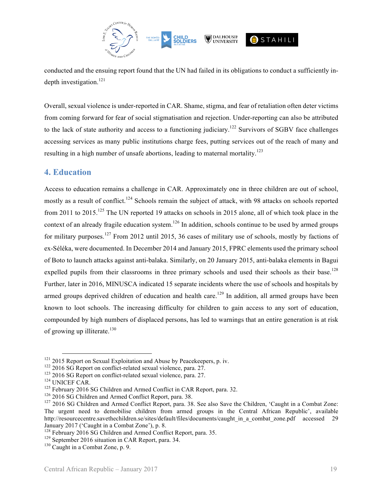

conducted and the ensuing report found that the UN had failed in its obligations to conduct a sufficiently indepth investigation.<sup>121</sup>

Overall, sexual violence is under-reported in CAR. Shame, stigma, and fear of retaliation often deter victims from coming forward for fear of social stigmatisation and rejection. Under-reporting can also be attributed to the lack of state authority and access to a functioning judiciary.<sup>122</sup> Survivors of SGBV face challenges accessing services as many public institutions charge fees, putting services out of the reach of many and resulting in a high number of unsafe abortions, leading to maternal mortality.<sup>123</sup>

### **4. Education**

Access to education remains a challenge in CAR. Approximately one in three children are out of school, mostly as a result of conflict.<sup>124</sup> Schools remain the subject of attack, with 98 attacks on schools reported from 2011 to 2015.<sup>125</sup> The UN reported 19 attacks on schools in 2015 alone, all of which took place in the context of an already fragile education system.<sup>126</sup> In addition, schools continue to be used by armed groups for military purposes.<sup>127</sup> From 2012 until 2015, 36 cases of military use of schools, mostly by factions of ex-Séléka, were documented. In December 2014 and January 2015, FPRC elements used the primary school of Boto to launch attacks against anti-balaka. Similarly, on 20 January 2015, anti-balaka elements in Bagui expelled pupils from their classrooms in three primary schools and used their schools as their base.<sup>128</sup> Further, later in 2016, MINUSCA indicated 15 separate incidents where the use of schools and hospitals by armed groups deprived children of education and health care.<sup>129</sup> In addition, all armed groups have been known to loot schools. The increasing difficulty for children to gain access to any sort of education, compounded by high numbers of displaced persons, has led to warnings that an entire generation is at risk of growing up illiterate. $130$ 

<sup>&</sup>lt;sup>121</sup> 2015 Report on Sexual Exploitation and Abuse by Peacekeepers, p. iv.<br><sup>122</sup> 2016 SG Report on conflict-related sexual violence, para. 27.<br><sup>123</sup> 2016 SG Report on conflict-related sexual violence, para. 27.<br><sup>124</sup> UNIC The urgent need to demobilise children from armed groups in the Central African Republic', available http://resourcecentre.savethechildren.se/sites/default/files/documents/caught\_in\_a\_combat\_zone.pdf accessed 29 January 2017 ('Caught in a Combat Zone'), p. 8.<br><sup>128</sup> February 2016 SG Children and Armed Conflict Report, para. 35.<br><sup>129</sup> September 2016 situation in CAR Report, para. 34.<br><sup>130</sup> Caught in a Combat Zone, p. 9.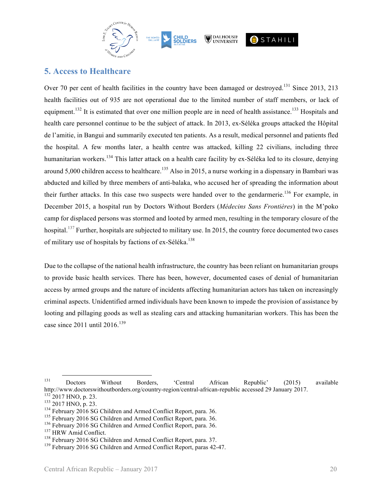

### **5. Access to Healthcare**

Over 70 per cent of health facilities in the country have been damaged or destroyed.<sup>131</sup> Since 2013, 213 health facilities out of 935 are not operational due to the limited number of staff members, or lack of equipment.<sup>132</sup> It is estimated that over one million people are in need of health assistance.<sup>133</sup> Hospitals and health care personnel continue to be the subject of attack. In 2013, ex-Séléka groups attacked the Hôpital de l'amitie, in Bangui and summarily executed ten patients. As a result, medical personnel and patients fled the hospital. A few months later, a health centre was attacked, killing 22 civilians, including three humanitarian workers.<sup>134</sup> This latter attack on a health care facility by ex-Séléka led to its closure, denying around 5,000 children access to healthcare.<sup>135</sup> Also in 2015, a nurse working in a dispensary in Bambari was abducted and killed by three members of anti-balaka, who accused her of spreading the information about their further attacks. In this case two suspects were handed over to the gendarmerie.<sup>136</sup> For example, in December 2015, a hospital run by Doctors Without Borders (*Médecins Sans Frontières*) in the M'poko camp for displaced persons was stormed and looted by armed men, resulting in the temporary closure of the hospital.<sup>137</sup> Further, hospitals are subjected to military use. In 2015, the country force documented two cases of military use of hospitals by factions of ex-Séléka.<sup>138</sup>

Due to the collapse of the national health infrastructure, the country has been reliant on humanitarian groups to provide basic health services. There has been, however, documented cases of denial of humanitarian access by armed groups and the nature of incidents affecting humanitarian actors has taken on increasingly criminal aspects. Unidentified armed individuals have been known to impede the provision of assistance by looting and pillaging goods as well as stealing cars and attacking humanitarian workers. This has been the case since  $2011$  until  $2016$ <sup>139</sup>

<sup>131</sup> Doctors Without Borders, 'Central African Republic' (2015) available http://www.doctorswithoutborders.org/country-region/central-african-republic accessed 29 January 2017.<br><sup>132</sup> 2017 HNO, p. 23.<br><sup>133</sup> 2017 HNO, p. 23.<br><sup>134</sup> February 2016 SG Children and Armed Conflict Report, para. 36.<br><sup>136</sup>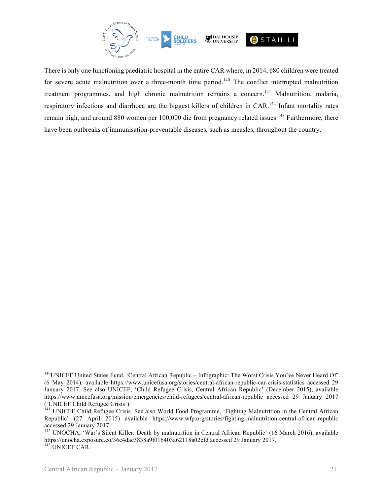

There is only one functioning paediatric hospital in the entire CAR where, in 2014, 680 children were treated for severe acute malnutrition over a three-month time period.<sup>140</sup> The conflict interrupted malnutrition treatment programmes, and high chronic malnutrition remains a concern.<sup>141</sup> Malnutrition, malaria, respiratory infections and diarrhoea are the biggest killers of children in CAR.<sup>142</sup> Infant mortality rates remain high, and around 880 women per 100,000 die from pregnancy related issues.<sup>143</sup> Furthermore, there have been outbreaks of immunisation-preventable diseases, such as measles, throughout the country.

<sup>&</sup>lt;sup>140</sup>UNICEF United States Fund, 'Central African Republic – Infographic: The Worst Crisis You've Never Heard Of' (6 May 2014), available https://www.unicefusa.org/stories/central-african-republic-car-crisis-statistics accessed 29 January 2017. See also UNICEF, 'Child Refugee Crisis, Central African Republic' (December 2015), available https://www.unicefusa.org/mission/emergencies/child-refugees/central-african-republic accessed 29 January 2017

<sup>(&#</sup>x27;UNICEF Child Refugee Crisis'). <sup>141</sup> UNICEF Child Refugee Crisis*.* See also World Food Programme, 'Fighting Malnutrition in the Central African Republic' (27 April 2015) available https://www.wfp.org/stories/fighting-malnutrition-central-african-republic accessed 29 January 2017.<br><sup>142</sup> UNOCHA, 'War's Silent Killer: Death by malnutrition in Central African Republic' (16 March 2016), available

https://unocha.exposure.co/36e4dae3838a9f016403a62118a02efd accessed <sup>29</sup> January 2017. <sup>143</sup> UNICEF CAR.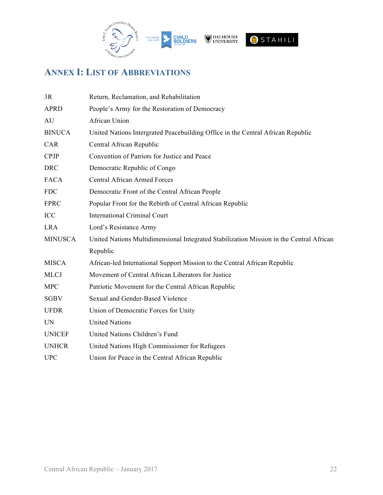

# **ANNEX I: LIST OF ABBREVIATIONS**

| 3R             | Return, Reclamation, and Rehabilitation                                                 |
|----------------|-----------------------------------------------------------------------------------------|
| <b>APRD</b>    | People's Army for the Restoration of Democracy                                          |
| AU             | African Union                                                                           |
| <b>BINUCA</b>  | United Nations Intergrated Peacebuilding Office in the Central African Republic         |
| CAR            | Central African Republic                                                                |
| <b>CPJP</b>    | Convention of Patriots for Justice and Peace                                            |
| <b>DRC</b>     | Democratic Republic of Congo                                                            |
| <b>FACA</b>    | <b>Central African Armed Forces</b>                                                     |
| <b>FDC</b>     | Democratic Front of the Central African People                                          |
| <b>FPRC</b>    | Popular Front for the Rebirth of Central African Republic                               |
| ICC            | <b>International Criminal Court</b>                                                     |
| <b>LRA</b>     | Lord's Resistance Army                                                                  |
| <b>MINUSCA</b> | United Nations Multidimensional Integrated Stabilization Mission in the Central African |
|                | Republic                                                                                |
| <b>MISCA</b>   | African-led International Support Mission to the Central African Republic               |
| <b>MLCJ</b>    | Movement of Central African Liberators for Justice                                      |
| <b>MPC</b>     | Patriotic Movement for the Central African Republic                                     |
| <b>SGBV</b>    | Sexual and Gender-Based Violence                                                        |
| <b>UFDR</b>    | Union of Democratic Forces for Unity                                                    |
| <b>UN</b>      | <b>United Nations</b>                                                                   |
| <b>UNICEF</b>  | United Nations Children's Fund                                                          |
| <b>UNHCR</b>   | United Nations High Commissioner for Refugees                                           |
| <b>UPC</b>     | Union for Peace in the Central African Republic                                         |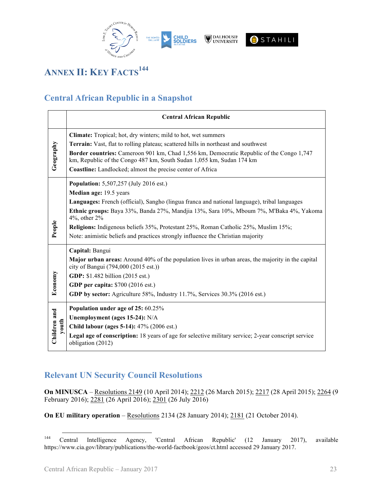

# **ANNEX II: KEY FACTS<sup>144</sup>**

## **Central African Republic in a Snapshot**

|                       | <b>Central African Republic</b>                                                                                                                                                                                                                                                                                                                                                                                                                                   |
|-----------------------|-------------------------------------------------------------------------------------------------------------------------------------------------------------------------------------------------------------------------------------------------------------------------------------------------------------------------------------------------------------------------------------------------------------------------------------------------------------------|
| Geography             | Climate: Tropical; hot, dry winters; mild to hot, wet summers<br>Terrain: Vast, flat to rolling plateau; scattered hills in northeast and southwest<br>Border countries: Cameroon 901 km, Chad 1,556 km, Democratic Republic of the Congo 1,747<br>km, Republic of the Congo 487 km, South Sudan 1,055 km, Sudan 174 km<br>Coastline: Landlocked; almost the precise center of Africa                                                                             |
| People                | <b>Population:</b> 5,507,257 (July 2016 est.)<br>Median age: 19.5 years<br>Languages: French (official), Sangho (lingua franca and national language), tribal languages<br>Ethnic groups: Baya 33%, Banda 27%, Mandjia 13%, Sara 10%, Mboum 7%, M'Baka 4%, Yakoma<br>$4\%$ , other $2\%$<br>Religions: Indigenous beliefs 35%, Protestant 25%, Roman Catholic 25%, Muslim 15%;<br>Note: animistic beliefs and practices strongly influence the Christian majority |
| Economy               | Capital: Bangui<br><b>Major urban areas:</b> Around 40% of the population lives in urban areas, the majority in the capital<br>city of Bangui (794,000 (2015 est.))<br>GDP: \$1.482 billion (2015 est.)<br>GDP per capita: \$700 (2016 est.)<br>GDP by sector: Agriculture 58%, Industry 11.7%, Services 30.3% (2016 est.)                                                                                                                                        |
| Children and<br>youth | Population under age of 25: 60.25%<br>Unemployment (ages 15-24): N/A<br>Child labour (ages 5-14): 47% (2006 est.)<br>Legal age of conscription: 18 years of age for selective military service; 2-year conscript service<br>obligation (2012)                                                                                                                                                                                                                     |

# **Relevant UN Security Council Resolutions**

**On MINUSCA** – Resolutions 2149 (10 April 2014); 2212 (26 March 2015); 2217 (28 April 2015); 2264 (9 February 2016); 2281 (26 April 2016); 2301 (26 July 2016)

**On EU military operation** – Resolutions 2134 (28 January 2014); 2181 (21 October 2014).

<sup>144</sup> Central Intelligence Agency, 'Central African Republic' (12 January 2017), available https://www.cia.gov/library/publications/the-world-factbook/geos/ct.html accessed 29 January 2017.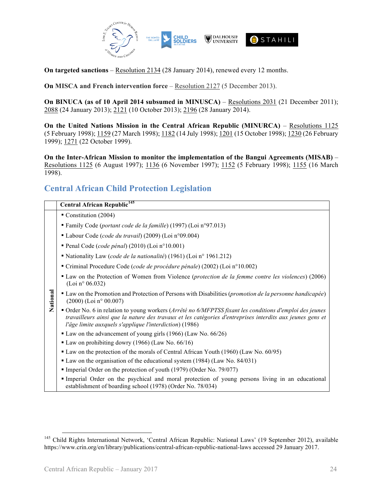

**On targeted sanctions** – Resolution 2134 (28 January 2014), renewed every 12 months.

**On MISCA and French intervention force** – Resolution 2127 (5 December 2013).

**On BINUCA (as of 10 April 2014 subsumed in MINUSCA)** – Resolutions 2031 (21 December 2011); 2088 (24 January 2013); 2121 (10 October 2013); 2196 (28 January 2014).

**On the United Nations Mission in the Central African Republic (MINURCA)** – Resolutions 1125 (5 February 1998); 1159 (27 March 1998); 1182 (14 July 1998); 1201 (15 October 1998); 1230 (26 February 1999); 1271 (22 October 1999).

**On the Inter-African Mission to monitor the implementation of the Bangui Agreements (MISAB)** – Resolutions 1125 (6 August 1997); 1136 (6 November 1997); 1152 (5 February 1998); 1155 (16 March 1998).

### **Central African Child Protection Legislation**

|          | <b>Central African Republic<sup>145</sup></b>                                                                                                                                                                                                                                    |
|----------|----------------------------------------------------------------------------------------------------------------------------------------------------------------------------------------------------------------------------------------------------------------------------------|
| National | Constitution (2004)                                                                                                                                                                                                                                                              |
|          | " Family Code (portant code de la famille) (1997) (Loi n°97.013)                                                                                                                                                                                                                 |
|          | • Labour Code (code du travail) (2009) (Loi n°09.004)                                                                                                                                                                                                                            |
|          | Penal Code (code pénal) (2010) (Loi n°10.001)                                                                                                                                                                                                                                    |
|          | • Nationality Law (code de la nationalité) (1961) (Loi n° 1961.212)                                                                                                                                                                                                              |
|          | Criminal Procedure Code (code de procédure pénale) (2002) (Loi $n^{\circ}10.002$ )                                                                                                                                                                                               |
|          | • Law on the Protection of Women from Violence (protection de la femme contre les violences) (2006)<br>(Loi n° 06.032)                                                                                                                                                           |
|          | • Law on the Promotion and Protection of Persons with Disabilities (promotion de la personne handicapée)<br>$(2000)$ (Loi n° 00.007)                                                                                                                                             |
|          | • Order No. 6 in relation to young workers (Arrêté no 6/MFPTSS fixant les conditions d'emploi des jeunes<br>travailleurs ainsi que la nature des travaux et les catégories d'entreprises interdits aux jeunes gens et<br>l'âge limite auxquels s'applique l'interdiction) (1986) |
|          | • Law on the advancement of young girls (1966) (Law No. 66/26)                                                                                                                                                                                                                   |
|          | • Law on prohibiting dowry (1966) (Law No. 66/16)                                                                                                                                                                                                                                |
|          | • Law on the protection of the morals of Central African Youth (1960) (Law No. 60/95)                                                                                                                                                                                            |
|          | • Law on the organisation of the educational system (1984) (Law No. 84/031)                                                                                                                                                                                                      |
|          | • Imperial Order on the protection of youth (1979) (Order No. 79/077)                                                                                                                                                                                                            |
|          | Imperial Order on the psychical and moral protection of young persons living in an educational<br>establishment of boarding school (1978) (Order No. 78/034)                                                                                                                     |

<sup>&</sup>lt;sup>145</sup> Child Rights International Network, 'Central African Republic: National Laws' (19 September 2012), available https://www.crin.org/en/library/publications/central-african-republic-national-laws accessed 29 January 2017.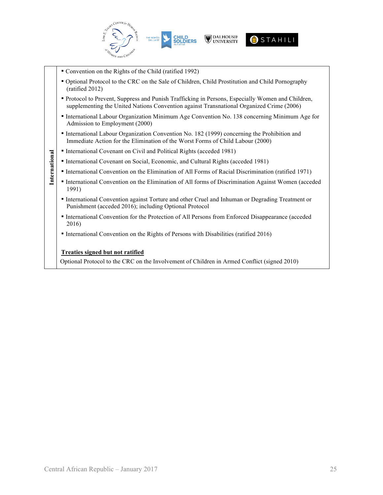

- Convention on the Rights of the Child (ratified 1992)
- Optional Protocol to the CRC on the Sale of Children, Child Prostitution and Child Pornography (ratified 2012)
- Protocol to Prevent, Suppress and Punish Trafficking in Persons, Especially Women and Children, supplementing the United Nations Convention against Transnational Organized Crime (2006)
- International Labour Organization Minimum Age Convention No. 138 concerning Minimum Age for Admission to Employment (2000)
- International Labour Organization Convention No. 182 (1999) concerning the Prohibition and Immediate Action for the Elimination of the Worst Forms of Child Labour (2000)
- International Covenant on Civil and Political Rights (acceded 1981)
- International Covenant on Social, Economic, and Cultural Rights (acceded 1981)
- International Convention on the Elimination of All Forms of Racial Discrimination (ratified 1971)
- **Example 12 Example 10 Central African Republic January 2017**<br>
Central African Republic January 2017<br>
Central African Republic January 2017<br>
Central African Republic January 2017<br>
Central African Republic Ja ▪ International Convention on the Elimination of All forms of Discrimination Against Women (acceded 1991)
	- International Convention against Torture and other Cruel and Inhuman or Degrading Treatment or Punishment (acceded 2016); including Optional Protocol
	- International Convention for the Protection of All Persons from Enforced Disappearance (acceded 2016)
	- International Convention on the Rights of Persons with Disabilities (ratified 2016)

#### **Treaties signed but not ratified**

Optional Protocol to the CRC on the Involvement of Children in Armed Conflict (signed 2010)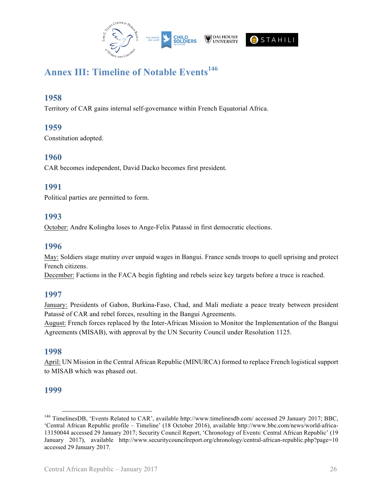

# **Annex III: Timeline of Notable Events<sup>146</sup>**

### **1958**

Territory of CAR gains internal self-governance within French Equatorial Africa.

### **1959**

Constitution adopted.

### **1960**

CAR becomes independent, David Dacko becomes first president.

### **1991**

Political parties are permitted to form.

### **1993**

October: Andre Kolingba loses to Ange-Felix Patassé in first democratic elections.

### **1996**

May: Soldiers stage mutiny over unpaid wages in Bangui. France sends troops to quell uprising and protect French citizens.

December: Factions in the FACA begin fighting and rebels seize key targets before a truce is reached.

### **1997**

January: Presidents of Gabon, Burkina-Faso, Chad, and Mali mediate a peace treaty between president Patassé of CAR and rebel forces, resulting in the Bangui Agreements.

August: French forces replaced by the Inter-African Mission to Monitor the Implementation of the Bangui Agreements (MISAB), with approval by the UN Security Council under Resolution 1125.

### **1998**

April: UN Mission in the Central African Republic (MINURCA) formed to replace French logistical support to MISAB which was phased out.

### **1999**

 <sup>146</sup> TimelinesDB, 'Events Related to CAR', available http://www.timelinesdb.com/ accessed 29 January 2017; BBC, 'Central African Republic profile – Timeline' (18 October 2016), available http://www.bbc.com/news/world-africa-13150044 accessed 29 January 2017; Security Council Report, 'Chronology of Events: Central African Republic' (19 January 2017), available http://www.securitycouncilreport.org/chronology/central-african-republic.php?page=10 accessed 29 January 2017.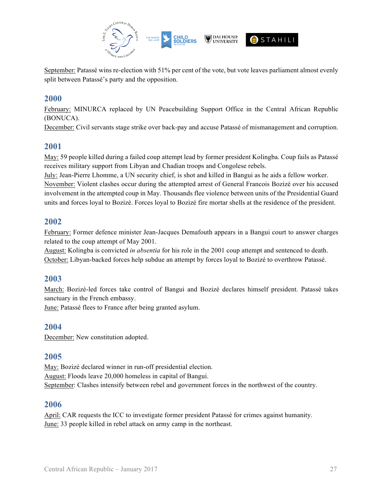

September: Patassé wins re-election with 51% per cent of the vote, but vote leaves parliament almost evenly split between Patassé's party and the opposition.

### **2000**

February: MINURCA replaced by UN Peacebuilding Support Office in the Central African Republic (BONUCA).

December: Civil servants stage strike over back-pay and accuse Patassé of mismanagement and corruption.

### **2001**

May: 59 people killed during a failed coup attempt lead by former president Kolingba. Coup fails as Patassé receives military support from Libyan and Chadian troops and Congolese rebels.

July: Jean-Pierre Lhomme, a UN security chief, is shot and killed in Bangui as he aids a fellow worker. November: Violent clashes occur during the attempted arrest of General Francois Bozizé over his accused involvement in the attempted coup in May. Thousands flee violence between units of the Presidential Guard units and forces loyal to Bozizé. Forces loyal to Bozizé fire mortar shells at the residence of the president.

### **2002**

February: Former defence minister Jean-Jacques Demafouth appears in a Bangui court to answer charges related to the coup attempt of May 2001.

August: Kolingba is convicted *in absentia* for his role in the 2001 coup attempt and sentenced to death. October: Libyan-backed forces help subdue an attempt by forces loyal to Bozizé to overthrow Patassé.

### **2003**

March: Bozizé-led forces take control of Bangui and Bozizé declares himself president. Patassé takes sanctuary in the French embassy.

June: Patassé flees to France after being granted asylum.

### **2004**

December: New constitution adopted.

### **2005**

May: Bozizé declared winner in run-off presidential election. August: Floods leave 20,000 homeless in capital of Bangui. September: Clashes intensify between rebel and government forces in the northwest of the country.

### **2006**

April: CAR requests the ICC to investigate former president Patassé for crimes against humanity. June: 33 people killed in rebel attack on army camp in the northeast.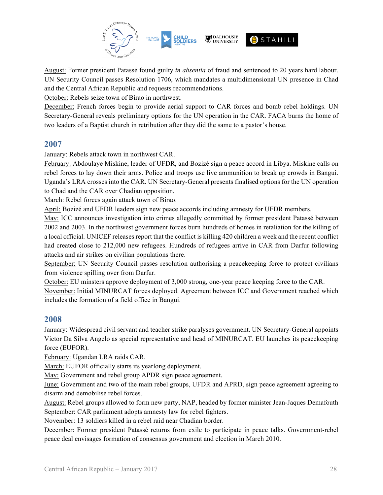

August: Former president Patassé found guilty *in absentia* of fraud and sentenced to 20 years hard labour. UN Security Council passes Resolution 1706, which mandates a multidimensional UN presence in Chad and the Central African Republic and requests recommendations.

October: Rebels seize town of Birao in northwest.

December: French forces begin to provide aerial support to CAR forces and bomb rebel holdings. UN Secretary-General reveals preliminary options for the UN operation in the CAR. FACA burns the home of two leaders of a Baptist church in retribution after they did the same to a pastor's house.

### **2007**

January: Rebels attack town in northwest CAR.

February: Abdoulaye Miskine, leader of UFDR, and Bozizé sign a peace accord in Libya. Miskine calls on rebel forces to lay down their arms. Police and troops use live ammunition to break up crowds in Bangui. Uganda's LRA crosses into the CAR. UN Secretary-General presents finalised options for the UN operation to Chad and the CAR over Chadian opposition.

March: Rebel forces again attack town of Birao.

April: Bozizé and UFDR leaders sign new peace accords including amnesty for UFDR members.

May: ICC announces investigation into crimes allegedly committed by former president Patassé between 2002 and 2003. In the northwest government forces burn hundreds of homes in retaliation for the killing of a local official. UNICEF releases report that the conflict is killing 420 children a week and the recent conflict had created close to 212,000 new refugees. Hundreds of refugees arrive in CAR from Darfur following attacks and air strikes on civilian populations there.

September: UN Security Council passes resolution authorising a peacekeeping force to protect civilians from violence spilling over from Darfur.

October: EU minsters approve deployment of 3,000 strong, one-year peace keeping force to the CAR. November: Initial MINURCAT forces deployed. Agreement between ICC and Government reached which includes the formation of a field office in Bangui.

### **2008**

January: Widespread civil servant and teacher strike paralyses government. UN Secretary-General appoints Victor Da Silva Angelo as special representative and head of MINURCAT. EU launches its peacekeeping force (EUFOR).

February: Ugandan LRA raids CAR.

March: EUFOR officially starts its yearlong deployment.

May: Government and rebel group APDR sign peace agreement.

June: Government and two of the main rebel groups, UFDR and APRD, sign peace agreement agreeing to disarm and demobilise rebel forces.

August: Rebel groups allowed to form new party, NAP, headed by former minister Jean-Jaques Demafouth September: CAR parliament adopts amnesty law for rebel fighters.

November: 13 soldiers killed in a rebel raid near Chadian border.

December: Former president Patassé returns from exile to participate in peace talks. Government-rebel peace deal envisages formation of consensus government and election in March 2010.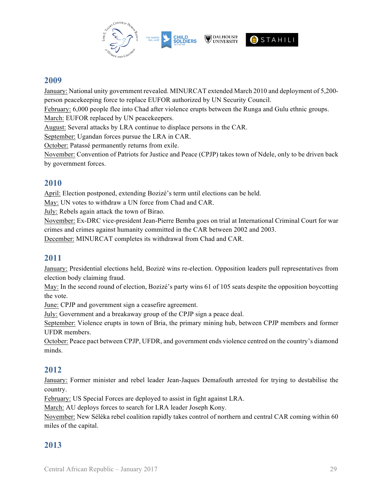

### **2009**

January: National unity government revealed. MINURCAT extended March 2010 and deployment of 5,200 person peacekeeping force to replace EUFOR authorized by UN Security Council.

February: 6,000 people flee into Chad after violence erupts between the Runga and Gulu ethnic groups.

March: EUFOR replaced by UN peacekeepers.

August: Several attacks by LRA continue to displace persons in the CAR.

September: Ugandan forces pursue the LRA in CAR.

October: Patassé permanently returns from exile.

November: Convention of Patriots for Justice and Peace (CPJP) takes town of Ndele, only to be driven back by government forces.

### **2010**

April: Election postponed, extending Bozizé's term until elections can be held.

May: UN votes to withdraw a UN force from Chad and CAR.

July: Rebels again attack the town of Birao.

November: Ex-DRC vice-president Jean-Pierre Bemba goes on trial at International Criminal Court for war crimes and crimes against humanity committed in the CAR between 2002 and 2003.

December: MINURCAT completes its withdrawal from Chad and CAR.

### **2011**

January: Presidential elections held, Bozizé wins re-election. Opposition leaders pull representatives from election body claiming fraud.

May: In the second round of election, Bozizé's party wins 61 of 105 seats despite the opposition boycotting the vote.

June: CPJP and government sign a ceasefire agreement.

July: Government and a breakaway group of the CPJP sign a peace deal.

September: Violence erupts in town of Bria, the primary mining hub, between CPJP members and former UFDR members.

October: Peace pact between CPJP, UFDR, and government ends violence centred on the country's diamond minds.

### **2012**

January: Former minister and rebel leader Jean-Jaques Demafouth arrested for trying to destabilise the country.

February: US Special Forces are deployed to assist in fight against LRA.

March: AU deploys forces to search for LRA leader Joseph Kony.

November: New Séléka rebel coalition rapidly takes control of northern and central CAR coming within 60 miles of the capital.

### **2013**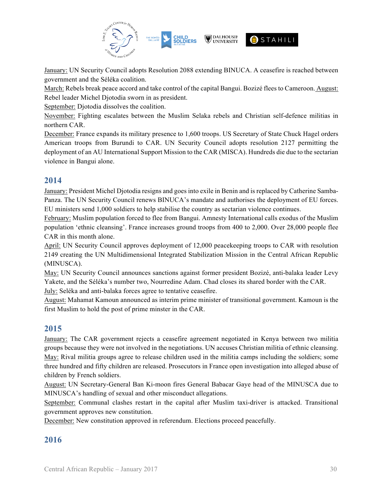

January: UN Security Council adopts Resolution 2088 extending BINUCA. A ceasefire is reached between government and the Séléka coalition.

March: Rebels break peace accord and take control of the capital Bangui. Bozizé flees to Cameroon. August: Rebel leader Michel Djotodia sworn in as president.

September: Djotodia dissolves the coalition.

November: Fighting escalates between the Muslim Selaka rebels and Christian self-defence militias in northern CAR.

December: France expands its military presence to 1,600 troops. US Secretary of State Chuck Hagel orders American troops from Burundi to CAR. UN Security Council adopts resolution 2127 permitting the deployment of an AU International Support Mission to the CAR (MISCA). Hundreds die due to the sectarian violence in Bangui alone.

### **2014**

January: President Michel Djotodia resigns and goes into exile in Benin and is replaced by Catherine Samba-Panza. The UN Security Council renews BINUCA's mandate and authorises the deployment of EU forces. EU ministers send 1,000 soldiers to help stabilise the country as sectarian violence continues.

February: Muslim population forced to flee from Bangui. Amnesty International calls exodus of the Muslim population 'ethnic cleansing'. France increases ground troops from 400 to 2,000. Over 28,000 people flee CAR in this month alone.

April: UN Security Council approves deployment of 12,000 peacekeeping troops to CAR with resolution 2149 creating the UN Multidimensional Integrated Stabilization Mission in the Central African Republic (MINUSCA).

May: UN Security Council announces sanctions against former president Bozizé, anti-balaka leader Levy Yakete, and the Séléka's number two, Nourredine Adam. Chad closes its shared border with the CAR. July: Seléka and anti-balaka forces agree to tentative ceasefire.

August: Mahamat Kamoun announced as interim prime minister of transitional government. Kamoun is the first Muslim to hold the post of prime minster in the CAR.

### **2015**

January: The CAR government rejects a ceasefire agreement negotiated in Kenya between two militia groups because they were not involved in the negotiations. UN accuses Christian militia of ethnic cleansing. May: Rival militia groups agree to release children used in the militia camps including the soldiers; some three hundred and fifty children are released. Prosecutors in France open investigation into alleged abuse of children by French soldiers.

August: UN Secretary-General Ban Ki-moon fires General Babacar Gaye head of the MINUSCA due to MINUSCA's handling of sexual and other misconduct allegations.

September: Communal clashes restart in the capital after Muslim taxi-driver is attacked. Transitional government approves new constitution.

December: New constitution approved in referendum. Elections proceed peacefully.

### **2016**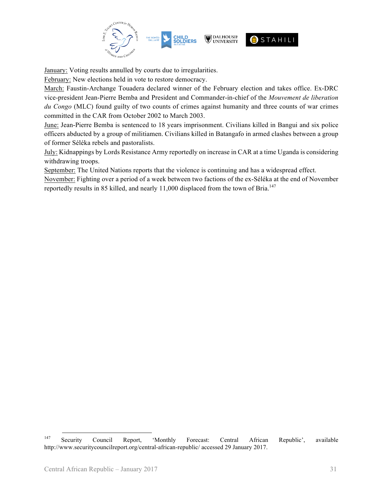

January: Voting results annulled by courts due to irregularities.

February: New elections held in vote to restore democracy.

March: Faustin-Archange Touadera declared winner of the February election and takes office. Ex-DRC vice-president Jean-Pierre Bemba and President and Commander-in-chief of the *Mouvement de liberation du Congo* (MLC) found guilty of two counts of crimes against humanity and three counts of war crimes committed in the CAR from October 2002 to March 2003.

June: Jean-Pierre Bemba is sentenced to 18 years imprisonment. Civilians killed in Bangui and six police officers abducted by a group of militiamen. Civilians killed in Batangafo in armed clashes between a group of former Séléka rebels and pastoralists.

July: Kidnappings by Lords Resistance Army reportedly on increase in CAR at a time Uganda is considering withdrawing troops.

September: The United Nations reports that the violence is continuing and has a widespread effect.

November: Fighting over a period of a week between two factions of the ex-Séléka at the end of November reportedly results in 85 killed, and nearly  $11,000$  displaced from the town of Bria.<sup>147</sup>

<sup>147</sup> Security Council Report, 'Monthly Forecast: Central African Republic', available http://www.securitycouncilreport.org/central-african-republic/ accessed 29 January 2017.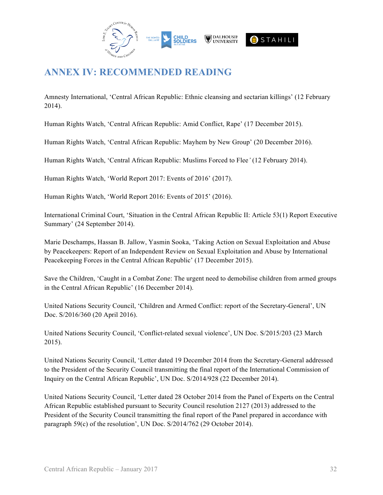

# **ANNEX IV: RECOMMENDED READING**

Amnesty International, 'Central African Republic: Ethnic cleansing and sectarian killings' (12 February 2014).

Human Rights Watch, 'Central African Republic: Amid Conflict, Rape' (17 December 2015).

Human Rights Watch, 'Central African Republic: Mayhem by New Group' (20 December 2016).

Human Rights Watch, 'Central African Republic: Muslims Forced to Flee*'* (12 February 2014).

Human Rights Watch, 'World Report 2017: Events of 2016' (2017).

Human Rights Watch, 'World Report 2016: Events of 2015' (2016).

International Criminal Court, 'Situation in the Central African Republic II: Article 53(1) Report Executive Summary' (24 September 2014).

Marie Deschamps, Hassan B. Jallow, Yasmin Sooka, 'Taking Action on Sexual Exploitation and Abuse by Peacekeepers: Report of an Independent Review on Sexual Exploitation and Abuse by International Peacekeeping Forces in the Central African Republic' (17 December 2015).

Save the Children, 'Caught in a Combat Zone: The urgent need to demobilise children from armed groups in the Central African Republic' (16 December 2014).

United Nations Security Council, 'Children and Armed Conflict: report of the Secretary-General', UN Doc. S/2016/360 (20 April 2016).

United Nations Security Council, 'Conflict-related sexual violence', UN Doc. S/2015/203 (23 March 2015).

United Nations Security Council, 'Letter dated 19 December 2014 from the Secretary-General addressed to the President of the Security Council transmitting the final report of the International Commission of Inquiry on the Central African Republic', UN Doc. S/2014/928 (22 December 2014).

United Nations Security Council, 'Letter dated 28 October 2014 from the Panel of Experts on the Central African Republic established pursuant to Security Council resolution 2127 (2013) addressed to the President of the Security Council transmitting the final report of the Panel prepared in accordance with paragraph 59(c) of the resolution', UN Doc. S/2014/762 (29 October 2014).